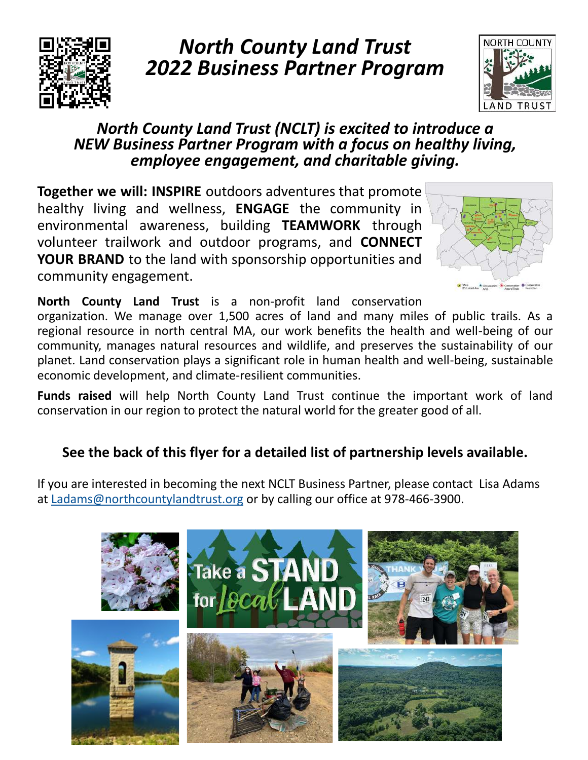

# *North County Land Trust 2022 Business Partner Program*



## *North County Land Trust (NCLT) is excited to introduce a NEW Business Partner Program with a focus on healthy living, employee engagement, and charitable giving.*

**Together we will: INSPIRE** outdoors adventures that promote healthy living and wellness, **ENGAGE** the community in environmental awareness, building **TEAMWORK** through volunteer trailwork and outdoor programs, and **CONNECT YOUR BRAND** to the land with sponsorship opportunities and community engagement.



**North County Land Trust** is a non-profit land conservation

organization. We manage over 1,500 acres of land and many miles of public trails. As a regional resource in north central MA, our work benefits the health and well-being of our community, manages natural resources and wildlife, and preserves the sustainability of our planet. Land conservation plays a significant role in human health and well-being, sustainable economic development, and climate-resilient communities.

**Funds raised** will help North County Land Trust continue the important work of land conservation in our region to protect the natural world for the greater good of all.

## **See the back of this flyer for a detailed list of partnership levels available.**

If you are interested in becoming the next NCLT Business Partner, please contact Lisa Adams at [Ladams@northcountylandtrust.org o](mailto:Ladams@northcountylandtrust.org)r by calling our office at 978-466-3900.